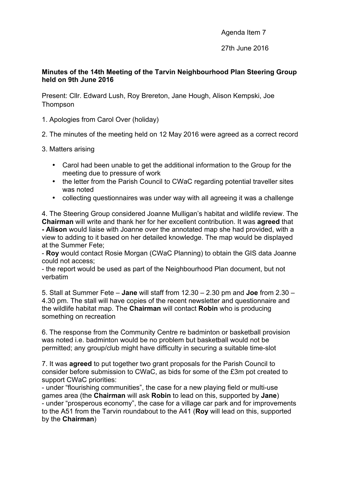Agenda Item 7

27th June 2016

## **Minutes of the 14th Meeting of the Tarvin Neighbourhood Plan Steering Group held on 9th June 2016**

Present: Cllr. Edward Lush, Roy Brereton, Jane Hough, Alison Kempski, Joe Thompson

- 1. Apologies from Carol Over (holiday)
- 2. The minutes of the meeting held on 12 May 2016 were agreed as a correct record
- 3. Matters arising
	- Carol had been unable to get the additional information to the Group for the meeting due to pressure of work
	- the letter from the Parish Council to CWaC regarding potential traveller sites was noted
	- collecting questionnaires was under way with all agreeing it was a challenge

4. The Steering Group considered Joanne Mulligan's habitat and wildlife review. The **Chairman** will write and thank her for her excellent contribution. It was **agreed** that **- Alison** would liaise with Joanne over the annotated map she had provided, with a view to adding to it based on her detailed knowledge. The map would be displayed at the Summer Fete;

- **Roy** would contact Rosie Morgan (CWaC Planning) to obtain the GIS data Joanne could not access;

- the report would be used as part of the Neighbourhood Plan document, but not verbatim

5. Stall at Summer Fete – **Jane** will staff from 12.30 – 2.30 pm and **Joe** from 2.30 – 4.30 pm. The stall will have copies of the recent newsletter and questionnaire and the wildlife habitat map. The **Chairman** will contact **Robin** who is producing something on recreation

6. The response from the Community Centre re badminton or basketball provision was noted i.e. badminton would be no problem but basketball would not be permitted; any group/club might have difficulty in securing a suitable time-slot

7. It was **agreed** to put together two grant proposals for the Parish Council to consider before submission to CWaC, as bids for some of the £3m pot created to support CWaC priorities:

- under "flourishing communities", the case for a new playing field or multi-use games area (the **Chairman** will ask **Robin** to lead on this, supported by **Jane**) - under "prosperous economy", the case for a village car park and for improvements to the A51 from the Tarvin roundabout to the A41 (**Roy** will lead on this, supported by the **Chairman**)